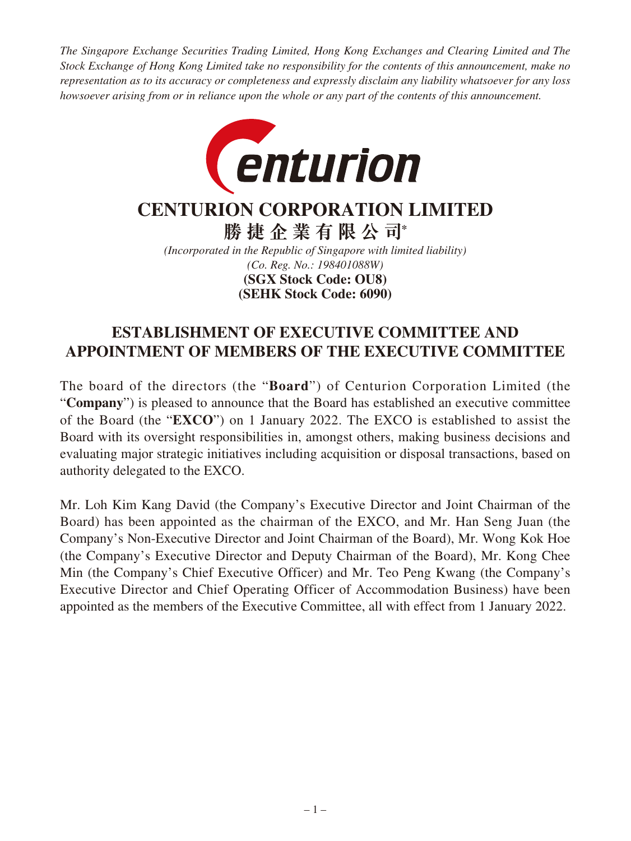*The Singapore Exchange Securities Trading Limited, Hong Kong Exchanges and Clearing Limited and The Stock Exchange of Hong Kong Limited take no responsibility for the contents of this announcement, make no representation as to its accuracy or completeness and expressly disclaim any liability whatsoever for any loss howsoever arising from or in reliance upon the whole or any part of the contents of this announcement.*



## **CENTURION CORPORATION LIMITED**

**勝捷企業有限公司\***

*(Incorporated in the Republic of Singapore with limited liability) (Co. Reg. No.: 198401088W)* **(SEHK Stock Code: 6090) (SGX Stock Code: OU8)**

## **ESTABLISHMENT OF EXECUTIVE COMMITTEE AND APPOINTMENT OF MEMBERS OF THE EXECUTIVE COMMITTEE**

The board of the directors (the "**Board**") of Centurion Corporation Limited (the "**Company**") is pleased to announce that the Board has established an executive committee of the Board (the "**EXCO**") on 1 January 2022. The EXCO is established to assist the Board with its oversight responsibilities in, amongst others, making business decisions and evaluating major strategic initiatives including acquisition or disposal transactions, based on authority delegated to the EXCO.

Mr. Loh Kim Kang David (the Company's Executive Director and Joint Chairman of the Board) has been appointed as the chairman of the EXCO, and Mr. Han Seng Juan (the Company's Non-Executive Director and Joint Chairman of the Board), Mr. Wong Kok Hoe (the Company's Executive Director and Deputy Chairman of the Board), Mr. Kong Chee Min (the Company's Chief Executive Officer) and Mr. Teo Peng Kwang (the Company's Executive Director and Chief Operating Officer of Accommodation Business) have been appointed as the members of the Executive Committee, all with effect from 1 January 2022.